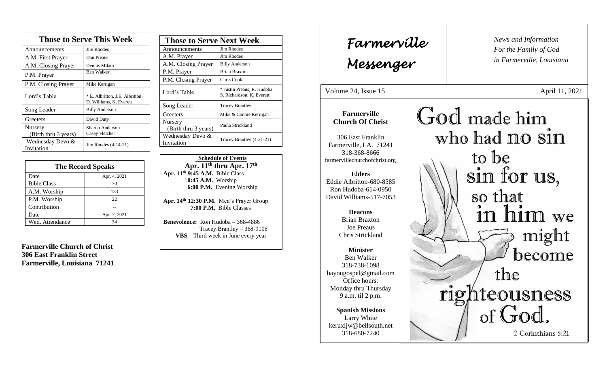| <b>Those to Serve This Week</b> |                                                           |
|---------------------------------|-----------------------------------------------------------|
| Announcements                   | <b>Jim Rhodes</b>                                         |
| A.M. First Prayer               | Dan Preaus                                                |
| A.M. Closing Prayer             | Dennis Milam                                              |
| P.M. Prayer                     | Ben Walker                                                |
| P.M. Closing Prayer             | Mike Kerrigan                                             |
| Lord's Table                    | * E. Albritton, J.E. Albritton<br>D. Williams, K. Everett |
| Song Leader                     | <b>Billy Anderson</b>                                     |
| Greeters                        | David Duty                                                |
| Nursery<br>(Birth thru 3 years) | Sharon Anderson<br>Casey Fletcher                         |
| Wednesday Devo &<br>Invitation  | Jim Rhodes (4-14-21)                                      |

| <b>The Record Speaks</b> |              |
|--------------------------|--------------|
| Date                     | Apr. 4, 2021 |
| <b>Bible Class</b>       | 70           |
| A.M. Worship             | 133          |
| P.M. Worship             | 22.          |
| Contribution             |              |
| Date                     | Apr. 7, 2021 |
| Wed. Attendance          | 34           |

**Farmerville Church of Christ 306 East Franklin Street Farmerville, Louisiana 71241**

| <b>Those to Serve Next Week</b>        |                                                         |
|----------------------------------------|---------------------------------------------------------|
| Announcements                          | <b>Jim Rhodes</b>                                       |
| A.M. Prayer                            | Jim Rhodes                                              |
| A.M. Closing Prayer                    | <b>Billy Anderson</b>                                   |
| P.M. Prayer                            | <b>Brian Braxton</b>                                    |
| P.M. Closing Prayer                    | Chris Cook                                              |
| Lord's Table                           | * Justin Preaus, R. Hudoba<br>S. Richardson, K. Everett |
| Song Leader                            | <b>Tracey Brantley</b>                                  |
| Greeters                               | Mike & Connie Kerrigan                                  |
| <b>Nursery</b><br>(Birth thru 3 years) | Paula Strickland                                        |
| Wednesday Devo &<br>Invitation         | Tracey Brantley (4-21-21)                               |

 **Schedule of Events Apr. 11th thru Apr. 17 th Apr. 11th 9:45 A.M.** Bible Class 1**0:45 A.M.** Worship  **6:00 P.M.** Evening Worship

**Apr. 14th 12:30 P.M.** Men's Prayer Group **7:00 P.M.** Bible Classes

**Benevolence:** Ron Hudoba – 368-4886 Tracey Brantley – 368-9106 **VBS** – Third week in June every year

*News and Information* **Farmerville**  $\parallel$  News and *For the Family of God in Farmerville, Louisiana Messenger*  Volume 24, Issue 15 April 11, 2021 , 2015 God made him **Farmerville Church Of Christ** who had no sin 306 East Franklin Farmerville, LA. 71241 318-368-8666 to be farmervillechurchofchrist.org sin for us, **Elders** Eddie Albritton-680-8585 Ron Hudoba-614-0950 so that David Williams-517-7053 in him we **Deacons**  Brian Braxton Joe Preaus might Chris Strickland **Minister** become Ben Walker 318-738-1098 the bayougospel@gmail.com Office hours: Monday thru Thursday righteousness 9 a.m. til 2 p.m. of God. **Spanish Missions** Larry White keruxljw@bellsouth.net 2 Corinthians 5:21 318-680-7240